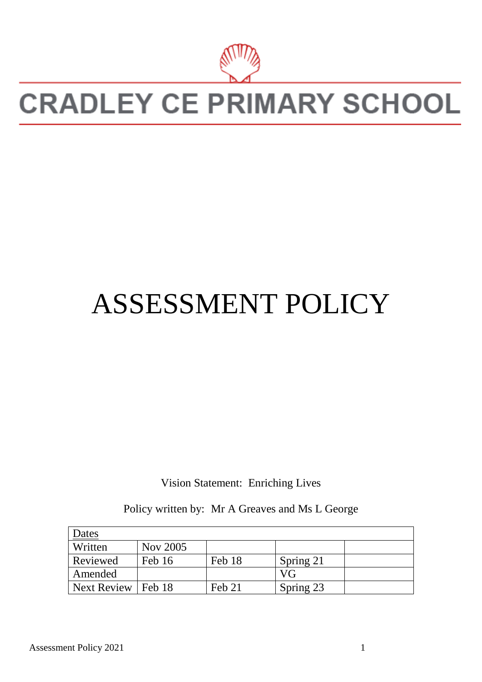

# **CRADLEY CE PRIMARY SCHOOL**

# ASSESSMENT POLICY

Vision Statement: Enriching Lives

Policy written by: Mr A Greaves and Ms L George

| Dates       |          |        |           |  |
|-------------|----------|--------|-----------|--|
| Written     | Nov 2005 |        |           |  |
| Reviewed    | Feb 16   | Feb 18 | Spring 21 |  |
| Amended     |          |        | VG        |  |
| Next Review | Feb 18   | Feb 21 | Spring 23 |  |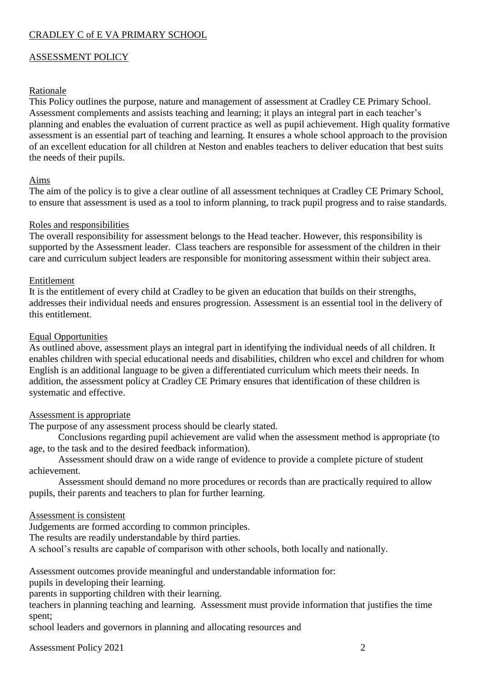# CRADLEY C of E VA PRIMARY SCHOOL

## ASSESSMENT POLICY

#### Rationale

This Policy outlines the purpose, nature and management of assessment at Cradley CE Primary School. Assessment complements and assists teaching and learning; it plays an integral part in each teacher's planning and enables the evaluation of current practice as well as pupil achievement. High quality formative assessment is an essential part of teaching and learning. It ensures a whole school approach to the provision of an excellent education for all children at Neston and enables teachers to deliver education that best suits the needs of their pupils.

#### Aims

The aim of the policy is to give a clear outline of all assessment techniques at Cradley CE Primary School, to ensure that assessment is used as a tool to inform planning, to track pupil progress and to raise standards.

#### Roles and responsibilities

The overall responsibility for assessment belongs to the Head teacher. However, this responsibility is supported by the Assessment leader. Class teachers are responsible for assessment of the children in their care and curriculum subject leaders are responsible for monitoring assessment within their subject area.

#### Entitlement

It is the entitlement of every child at Cradley to be given an education that builds on their strengths, addresses their individual needs and ensures progression. Assessment is an essential tool in the delivery of this entitlement.

#### Equal Opportunities

As outlined above, assessment plays an integral part in identifying the individual needs of all children. It enables children with special educational needs and disabilities, children who excel and children for whom English is an additional language to be given a differentiated curriculum which meets their needs. In addition, the assessment policy at Cradley CE Primary ensures that identification of these children is systematic and effective.

#### Assessment is appropriate

The purpose of any assessment process should be clearly stated.

Conclusions regarding pupil achievement are valid when the assessment method is appropriate (to age, to the task and to the desired feedback information).

Assessment should draw on a wide range of evidence to provide a complete picture of student achievement.

Assessment should demand no more procedures or records than are practically required to allow pupils, their parents and teachers to plan for further learning.

#### Assessment is consistent

Judgements are formed according to common principles.

The results are readily understandable by third parties.

A school's results are capable of comparison with other schools, both locally and nationally.

Assessment outcomes provide meaningful and understandable information for:

pupils in developing their learning.

parents in supporting children with their learning.

teachers in planning teaching and learning. Assessment must provide information that justifies the time spent;

school leaders and governors in planning and allocating resources and

Assessment Policy 2021 2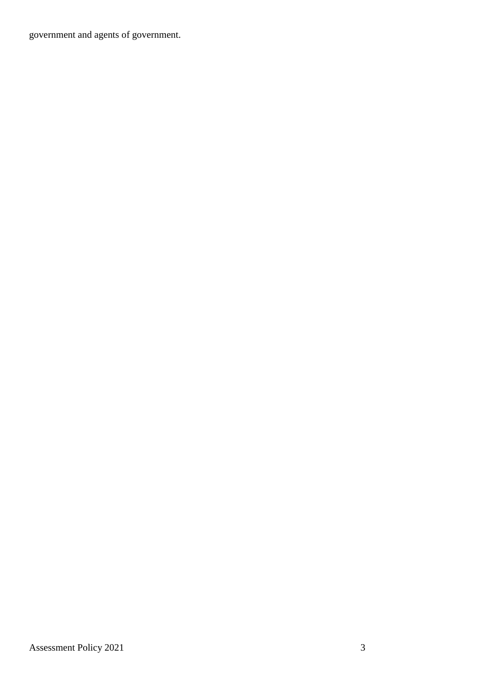government and agents of government.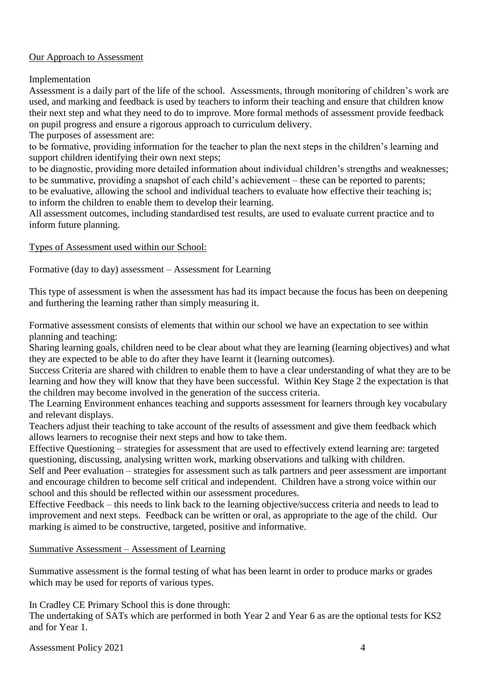# Our Approach to Assessment

Implementation

Assessment is a daily part of the life of the school. Assessments, through monitoring of children's work are used, and marking and feedback is used by teachers to inform their teaching and ensure that children know their next step and what they need to do to improve. More formal methods of assessment provide feedback on pupil progress and ensure a rigorous approach to curriculum delivery.

The purposes of assessment are:

to be formative, providing information for the teacher to plan the next steps in the children's learning and support children identifying their own next steps;

to be diagnostic, providing more detailed information about individual children's strengths and weaknesses; to be summative, providing a snapshot of each child's achievement – these can be reported to parents;

to be evaluative, allowing the school and individual teachers to evaluate how effective their teaching is; to inform the children to enable them to develop their learning.

All assessment outcomes, including standardised test results, are used to evaluate current practice and to inform future planning.

## Types of Assessment used within our School:

Formative (day to day) assessment – Assessment for Learning

This type of assessment is when the assessment has had its impact because the focus has been on deepening and furthering the learning rather than simply measuring it.

Formative assessment consists of elements that within our school we have an expectation to see within planning and teaching:

Sharing learning goals, children need to be clear about what they are learning (learning objectives) and what they are expected to be able to do after they have learnt it (learning outcomes).

Success Criteria are shared with children to enable them to have a clear understanding of what they are to be learning and how they will know that they have been successful. Within Key Stage 2 the expectation is that the children may become involved in the generation of the success criteria.

The Learning Environment enhances teaching and supports assessment for learners through key vocabulary and relevant displays.

Teachers adjust their teaching to take account of the results of assessment and give them feedback which allows learners to recognise their next steps and how to take them.

Effective Questioning – strategies for assessment that are used to effectively extend learning are: targeted questioning, discussing, analysing written work, marking observations and talking with children.

Self and Peer evaluation – strategies for assessment such as talk partners and peer assessment are important and encourage children to become self critical and independent. Children have a strong voice within our school and this should be reflected within our assessment procedures.

Effective Feedback – this needs to link back to the learning objective/success criteria and needs to lead to improvement and next steps. Feedback can be written or oral, as appropriate to the age of the child. Our marking is aimed to be constructive, targeted, positive and informative.

# Summative Assessment – Assessment of Learning

Summative assessment is the formal testing of what has been learnt in order to produce marks or grades which may be used for reports of various types.

In Cradley CE Primary School this is done through:

The undertaking of SATs which are performed in both Year 2 and Year 6 as are the optional tests for KS2 and for Year 1.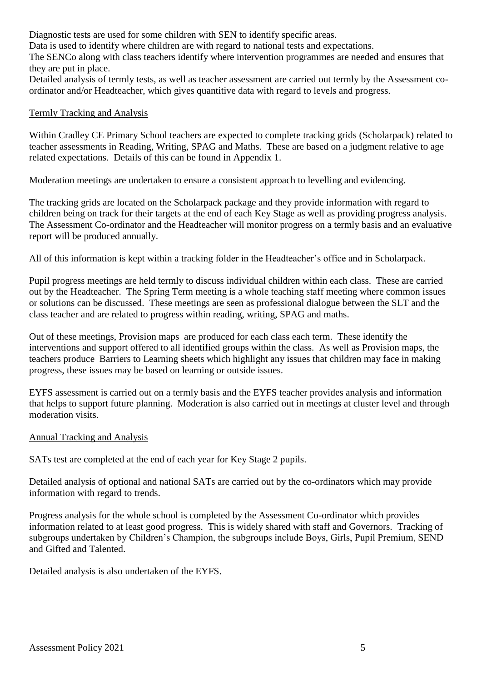Diagnostic tests are used for some children with SEN to identify specific areas.

Data is used to identify where children are with regard to national tests and expectations.

The SENCo along with class teachers identify where intervention programmes are needed and ensures that they are put in place.

Detailed analysis of termly tests, as well as teacher assessment are carried out termly by the Assessment coordinator and/or Headteacher, which gives quantitive data with regard to levels and progress.

# Termly Tracking and Analysis

Within Cradley CE Primary School teachers are expected to complete tracking grids (Scholarpack) related to teacher assessments in Reading, Writing, SPAG and Maths. These are based on a judgment relative to age related expectations. Details of this can be found in Appendix 1.

Moderation meetings are undertaken to ensure a consistent approach to levelling and evidencing.

The tracking grids are located on the Scholarpack package and they provide information with regard to children being on track for their targets at the end of each Key Stage as well as providing progress analysis. The Assessment Co-ordinator and the Headteacher will monitor progress on a termly basis and an evaluative report will be produced annually.

All of this information is kept within a tracking folder in the Headteacher's office and in Scholarpack.

Pupil progress meetings are held termly to discuss individual children within each class. These are carried out by the Headteacher. The Spring Term meeting is a whole teaching staff meeting where common issues or solutions can be discussed. These meetings are seen as professional dialogue between the SLT and the class teacher and are related to progress within reading, writing, SPAG and maths.

Out of these meetings, Provision maps are produced for each class each term. These identify the interventions and support offered to all identified groups within the class. As well as Provision maps, the teachers produce Barriers to Learning sheets which highlight any issues that children may face in making progress, these issues may be based on learning or outside issues.

EYFS assessment is carried out on a termly basis and the EYFS teacher provides analysis and information that helps to support future planning. Moderation is also carried out in meetings at cluster level and through moderation visits.

#### Annual Tracking and Analysis

SATs test are completed at the end of each year for Key Stage 2 pupils.

Detailed analysis of optional and national SATs are carried out by the co-ordinators which may provide information with regard to trends.

Progress analysis for the whole school is completed by the Assessment Co-ordinator which provides information related to at least good progress. This is widely shared with staff and Governors. Tracking of subgroups undertaken by Children's Champion, the subgroups include Boys, Girls, Pupil Premium, SEND and Gifted and Talented.

Detailed analysis is also undertaken of the EYFS.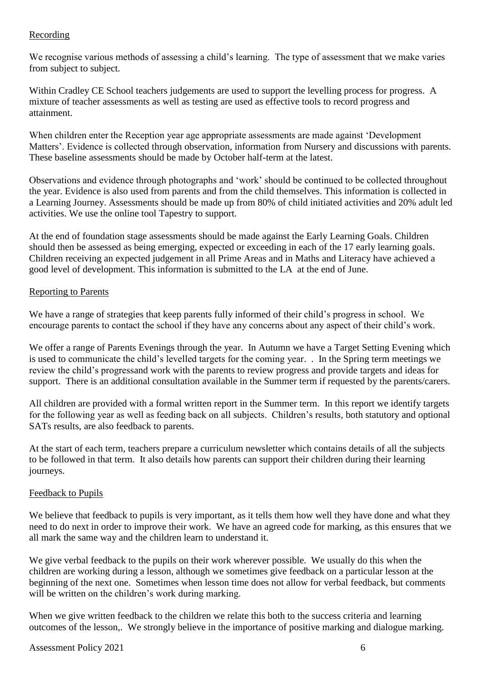# Recording

We recognise various methods of assessing a child's learning. The type of assessment that we make varies from subject to subject.

Within Cradley CE School teachers judgements are used to support the levelling process for progress. A mixture of teacher assessments as well as testing are used as effective tools to record progress and attainment.

When children enter the Reception year age appropriate assessments are made against 'Development Matters'. Evidence is collected through observation, information from Nursery and discussions with parents. These baseline assessments should be made by October half-term at the latest.

Observations and evidence through photographs and 'work' should be continued to be collected throughout the year. Evidence is also used from parents and from the child themselves. This information is collected in a Learning Journey. Assessments should be made up from 80% of child initiated activities and 20% adult led activities. We use the online tool Tapestry to support.

At the end of foundation stage assessments should be made against the Early Learning Goals. Children should then be assessed as being emerging, expected or exceeding in each of the 17 early learning goals. Children receiving an expected judgement in all Prime Areas and in Maths and Literacy have achieved a good level of development. This information is submitted to the LA at the end of June.

# Reporting to Parents

We have a range of strategies that keep parents fully informed of their child's progress in school. We encourage parents to contact the school if they have any concerns about any aspect of their child's work.

We offer a range of Parents Evenings through the year. In Autumn we have a Target Setting Evening which is used to communicate the child's levelled targets for the coming year. . In the Spring term meetings we review the child's progressand work with the parents to review progress and provide targets and ideas for support. There is an additional consultation available in the Summer term if requested by the parents/carers.

All children are provided with a formal written report in the Summer term. In this report we identify targets for the following year as well as feeding back on all subjects. Children's results, both statutory and optional SATs results, are also feedback to parents.

At the start of each term, teachers prepare a curriculum newsletter which contains details of all the subjects to be followed in that term. It also details how parents can support their children during their learning journeys.

# Feedback to Pupils

We believe that feedback to pupils is very important, as it tells them how well they have done and what they need to do next in order to improve their work. We have an agreed code for marking, as this ensures that we all mark the same way and the children learn to understand it.

We give verbal feedback to the pupils on their work wherever possible. We usually do this when the children are working during a lesson, although we sometimes give feedback on a particular lesson at the beginning of the next one. Sometimes when lesson time does not allow for verbal feedback, but comments will be written on the children's work during marking.

When we give written feedback to the children we relate this both to the success criteria and learning outcomes of the lesson,. We strongly believe in the importance of positive marking and dialogue marking.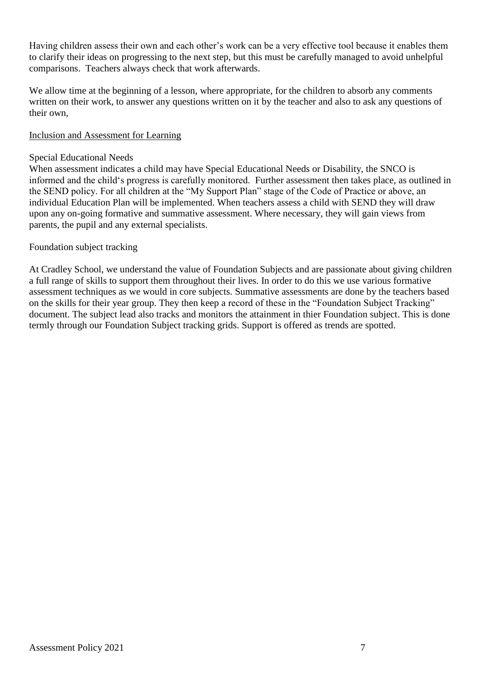Having children assess their own and each other's work can be a very effective tool because it enables them to clarify their ideas on progressing to the next step, but this must be carefully managed to avoid unhelpful comparisons. Teachers always check that work afterwards.

We allow time at the beginning of a lesson, where appropriate, for the children to absorb any comments written on their work, to answer any questions written on it by the teacher and also to ask any questions of their own,

### Inclusion and Assessment for Learning

## Special Educational Needs

When assessment indicates a child may have Special Educational Needs or Disability, the SNCO is informed and the child's progress is carefully monitored. Further assessment then takes place, as outlined in the SEND policy. For all children at the "My Support Plan" stage of the Code of Practice or above, an individual Education Plan will be implemented. When teachers assess a child with SEND they will draw upon any on-going formative and summative assessment. Where necessary, they will gain views from parents, the pupil and any external specialists.

# Foundation subject tracking

At Cradley School, we understand the value of Foundation Subjects and are passionate about giving children a full range of skills to support them throughout their lives. In order to do this we use various formative assessment techniques as we would in core subjects. Summative assessments are done by the teachers based on the skills for their year group. They then keep a record of these in the "Foundation Subject Tracking" document. The subject lead also tracks and monitors the attainment in thier Foundation subject. This is done termly through our Foundation Subject tracking grids. Support is offered as trends are spotted.